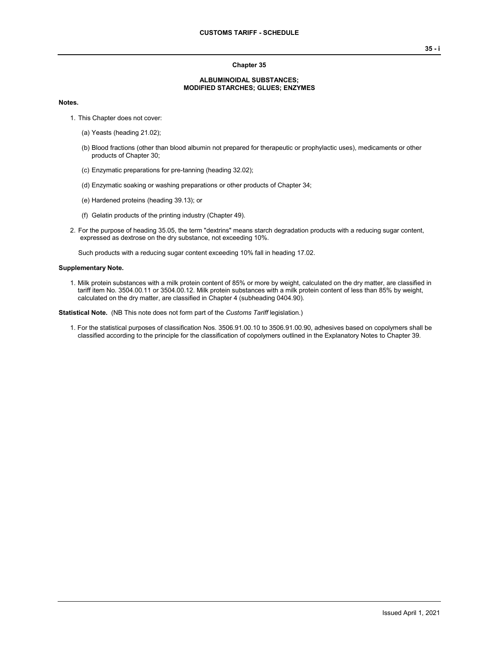## **Chapter 35**

## **ALBUMINOIDAL SUBSTANCES; MODIFIED STARCHES; GLUES; ENZYMES**

## **Notes.**

- 1. This Chapter does not cover:
	- (a) Yeasts (heading 21.02);
	- (b) Blood fractions (other than blood albumin not prepared for therapeutic or prophylactic uses), medicaments or other products of Chapter 30;
	- (c) Enzymatic preparations for pre-tanning (heading 32.02);
	- (d) Enzymatic soaking or washing preparations or other products of Chapter 34;
	- (e) Hardened proteins (heading 39.13); or
	- (f) Gelatin products of the printing industry (Chapter 49).
- 2. For the purpose of heading 35.05, the term "dextrins" means starch degradation products with a reducing sugar content, expressed as dextrose on the dry substance, not exceeding 10%.

Such products with a reducing sugar content exceeding 10% fall in heading 17.02.

## **Supplementary Note.**

1. Milk protein substances with a milk protein content of 85% or more by weight, calculated on the dry matter, are classified in tariff item No. 3504.00.11 or 3504.00.12. Milk protein substances with a milk protein content of less than 85% by weight, calculated on the dry matter, are classified in Chapter 4 (subheading 0404.90).

**Statistical Note.** (NB This note does not form part of the *Customs Tariff* legislation.)

1. For the statistical purposes of classification Nos. 3506.91.00.10 to 3506.91.00.90, adhesives based on copolymers shall be classified according to the principle for the classification of copolymers outlined in the Explanatory Notes to Chapter 39.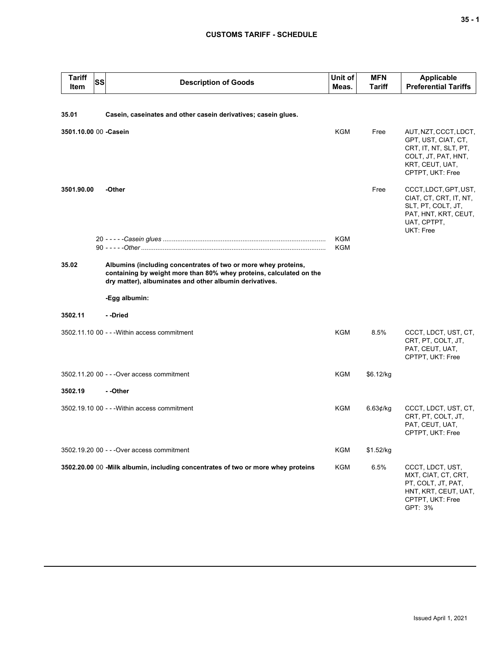| <b>Tariff</b><br>Item  | <b>SS</b> | <b>Description of Goods</b>                                                                                                                                                                      | Unit of<br>Meas. | <b>MFN</b><br>Tariff | <b>Applicable</b><br><b>Preferential Tariffs</b>                                                                                    |
|------------------------|-----------|--------------------------------------------------------------------------------------------------------------------------------------------------------------------------------------------------|------------------|----------------------|-------------------------------------------------------------------------------------------------------------------------------------|
| 35.01                  |           | Casein, caseinates and other casein derivatives; casein glues.                                                                                                                                   |                  |                      |                                                                                                                                     |
| 3501.10.00 00 - Casein |           |                                                                                                                                                                                                  | <b>KGM</b>       | Free                 | AUT, NZT, CCCT, LDCT,<br>GPT, UST, CIAT, CT,<br>CRT, IT, NT, SLT, PT,<br>COLT, JT, PAT, HNT,<br>KRT, CEUT, UAT,<br>CPTPT, UKT: Free |
| 3501.90.00             |           | -Other                                                                                                                                                                                           |                  | Free                 | CCCT, LDCT, GPT, UST,<br>CIAT, CT, CRT, IT, NT,<br>SLT, PT, COLT, JT,<br>PAT, HNT, KRT, CEUT,<br>UAT, CPTPT,<br>UKT: Free           |
|                        |           |                                                                                                                                                                                                  | KGM<br>KGM       |                      |                                                                                                                                     |
| 35.02                  |           | Albumins (including concentrates of two or more whey proteins,<br>containing by weight more than 80% whey proteins, calculated on the<br>dry matter), albuminates and other albumin derivatives. |                  |                      |                                                                                                                                     |
|                        |           | -Egg albumin:                                                                                                                                                                                    |                  |                      |                                                                                                                                     |
| 3502.11                |           | - -Dried                                                                                                                                                                                         |                  |                      |                                                                                                                                     |
|                        |           | 3502.11.10 00 - - - Within access commitment                                                                                                                                                     | KGM              | 8.5%                 | CCCT, LDCT, UST, CT,<br>CRT, PT, COLT, JT,<br>PAT, CEUT, UAT,<br>CPTPT, UKT: Free                                                   |
|                        |           | 3502.11.20 00 - - - Over access commitment                                                                                                                                                       | KGM              | \$6.12/kg            |                                                                                                                                     |
| 3502.19                |           | - -Other                                                                                                                                                                                         |                  |                      |                                                                                                                                     |
|                        |           | 3502.19.10 00 - - - Within access commitment                                                                                                                                                     | KGM              | 6.63¢/kg             | CCCT, LDCT, UST, CT,<br>CRT, PT, COLT, JT,<br>PAT, CEUT, UAT,<br>CPTPT, UKT: Free                                                   |
|                        |           | 3502.19.20 00 - - - Over access commitment                                                                                                                                                       | <b>KGM</b>       | \$1.52/kg            |                                                                                                                                     |
|                        |           | 3502.20.00 00 -Milk albumin, including concentrates of two or more whey proteins                                                                                                                 | <b>KGM</b>       | 6.5%                 | CCCT, LDCT, UST,<br>MXT, CIAT, CT, CRT,<br>PT, COLT, JT, PAT,<br>HNT, KRT, CEUT, UAT,<br>CPTPT, UKT: Free<br>GPT: 3%                |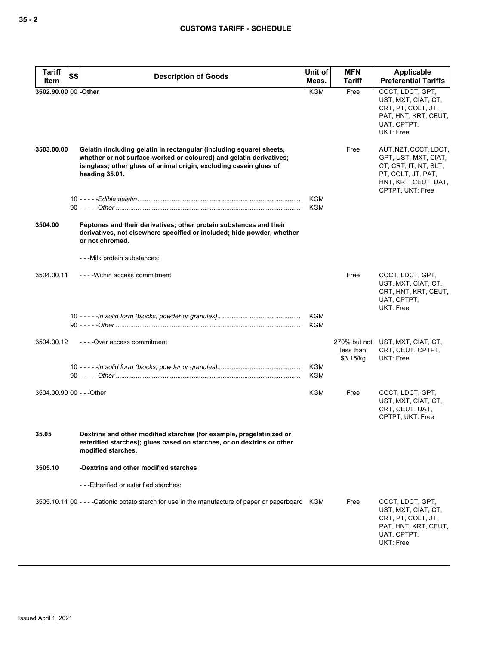| <b>Tariff</b><br>Item | SS<br><b>Description of Goods</b>                                                                                                                                                                                                   | Unit of<br>Meas.  | <b>MFN</b><br>Tariff   | Applicable<br><b>Preferential Tariffs</b>                                                                                                |
|-----------------------|-------------------------------------------------------------------------------------------------------------------------------------------------------------------------------------------------------------------------------------|-------------------|------------------------|------------------------------------------------------------------------------------------------------------------------------------------|
| 3502.90.00 00 - Other |                                                                                                                                                                                                                                     | <b>KGM</b>        | Free                   | CCCT, LDCT, GPT,<br>UST, MXT, CIAT, CT,<br>CRT, PT, COLT, JT,<br>PAT, HNT, KRT, CEUT,<br>UAT, CPTPT,<br>UKT: Free                        |
| 3503.00.00            | Gelatin (including gelatin in rectangular (including square) sheets,<br>whether or not surface-worked or coloured) and gelatin derivatives;<br>isinglass; other glues of animal origin, excluding casein glues of<br>heading 35.01. |                   | Free                   | AUT, NZT, CCCT, LDCT,<br>GPT, UST, MXT, CIAT,<br>CT, CRT, IT, NT, SLT,<br>PT, COLT, JT, PAT,<br>HNT, KRT, CEUT, UAT,<br>CPTPT, UKT: Free |
|                       |                                                                                                                                                                                                                                     | KGM<br><b>KGM</b> |                        |                                                                                                                                          |
| 3504.00               | Peptones and their derivatives; other protein substances and their<br>derivatives, not elsewhere specified or included; hide powder, whether<br>or not chromed.                                                                     |                   |                        |                                                                                                                                          |
|                       | - - - Milk protein substances:                                                                                                                                                                                                      |                   |                        |                                                                                                                                          |
| 3504.00.11            | ----Within access commitment                                                                                                                                                                                                        |                   | Free                   | CCCT, LDCT, GPT,<br>UST, MXT, CIAT, CT,<br>CRT, HNT, KRT, CEUT,<br>UAT, CPTPT,<br>UKT: Free                                              |
|                       |                                                                                                                                                                                                                                     | KGM<br>KGM        |                        |                                                                                                                                          |
| 3504.00.12            | ----Over access commitment                                                                                                                                                                                                          |                   | less than<br>\$3.15/kg | 270% but not UST, MXT, CIAT, CT,<br>CRT, CEUT, CPTPT,<br>UKT: Free                                                                       |
|                       |                                                                                                                                                                                                                                     | KGM<br><b>KGM</b> |                        |                                                                                                                                          |
|                       | 3504.00.90 00 - - - Other                                                                                                                                                                                                           | KGM               | Free                   | CCCT, LDCT, GPT,<br>UST, MXT, CIAT, CT,<br>CRT, CEUT, UAT,<br>CPTPT, UKT: Free                                                           |
| 35.05                 | Dextrins and other modified starches (for example, pregelatinized or<br>esterified starches); glues based on starches, or on dextrins or other<br>modified starches.                                                                |                   |                        |                                                                                                                                          |
| 3505.10               | -Dextrins and other modified starches                                                                                                                                                                                               |                   |                        |                                                                                                                                          |
|                       | ---Etherified or esterified starches:                                                                                                                                                                                               |                   |                        |                                                                                                                                          |
|                       | 3505.10.11 00 - - - - Cationic potato starch for use in the manufacture of paper or paperboard KGM                                                                                                                                  |                   | Free                   | CCCT, LDCT, GPT,<br>UST, MXT, CIAT, CT,<br>CRT, PT, COLT, JT,<br>PAT, HNT, KRT, CEUT,<br>UAT, CPTPT,<br>UKT: Free                        |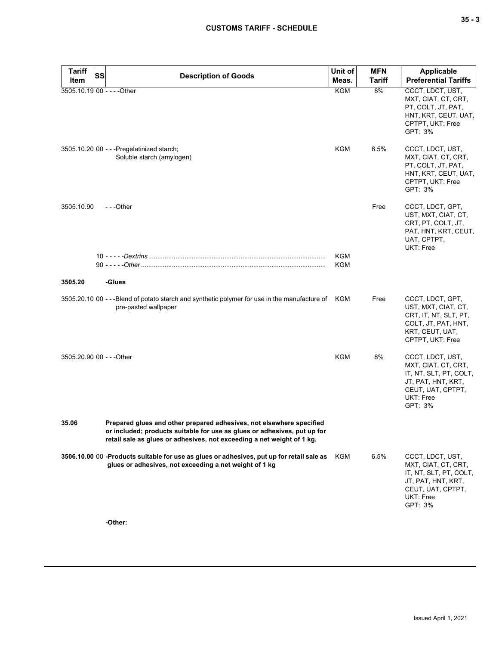| <b>Tariff</b><br>Item       | SS | <b>Description of Goods</b>                                                                                                                                                                                                | Unit of<br>Meas.  | <b>MFN</b><br><b>Tariff</b> | <b>Applicable</b><br><b>Preferential Tariffs</b>                                                                                     |
|-----------------------------|----|----------------------------------------------------------------------------------------------------------------------------------------------------------------------------------------------------------------------------|-------------------|-----------------------------|--------------------------------------------------------------------------------------------------------------------------------------|
| 3505.10.19 00 - - - - Other |    |                                                                                                                                                                                                                            | <b>KGM</b>        | 8%                          | CCCT, LDCT, UST,                                                                                                                     |
|                             |    |                                                                                                                                                                                                                            |                   |                             | MXT, CIAT, CT, CRT,<br>PT, COLT, JT, PAT,<br>HNT, KRT, CEUT, UAT,<br>CPTPT, UKT: Free<br>GPT: 3%                                     |
|                             |    | 3505.10.20 00 - - - Pregelatinized starch;<br>Soluble starch (amylogen)                                                                                                                                                    | KGM               | 6.5%                        | CCCT, LDCT, UST,<br>MXT, CIAT, CT, CRT,<br>PT, COLT, JT, PAT,<br>HNT, KRT, CEUT, UAT,<br>CPTPT, UKT: Free<br>GPT: 3%                 |
| 3505.10.90                  |    | ---Other                                                                                                                                                                                                                   |                   | Free                        | CCCT, LDCT, GPT,<br>UST, MXT, CIAT, CT,<br>CRT, PT, COLT, JT,<br>PAT, HNT, KRT, CEUT,<br>UAT, CPTPT,<br>UKT: Free                    |
|                             |    |                                                                                                                                                                                                                            | <b>KGM</b><br>KGM |                             |                                                                                                                                      |
| 3505.20                     |    | -Glues                                                                                                                                                                                                                     |                   |                             |                                                                                                                                      |
|                             |    | 3505.20.10 00 - --Blend of potato starch and synthetic polymer for use in the manufacture of KGM<br>pre-pasted wallpaper                                                                                                   |                   | Free                        | CCCT, LDCT, GPT,<br>UST, MXT, CIAT, CT,<br>CRT, IT, NT, SLT, PT,<br>COLT, JT, PAT, HNT,<br>KRT, CEUT, UAT,<br>CPTPT, UKT: Free       |
| 3505.20.90 00 - - - Other   |    |                                                                                                                                                                                                                            | <b>KGM</b>        | 8%                          | CCCT, LDCT, UST,<br>MXT, CIAT, CT, CRT,<br>IT, NT, SLT, PT, COLT,<br>JT, PAT, HNT, KRT,<br>CEUT, UAT, CPTPT,<br>UKT: Free<br>GPT: 3% |
| 35.06                       |    | Prepared glues and other prepared adhesives, not elsewhere specified<br>or included; products suitable for use as glues or adhesives, put up for<br>retail sale as glues or adhesives, not exceeding a net weight of 1 kg. |                   |                             |                                                                                                                                      |
|                             |    | 3506.10.00 00 -Products suitable for use as glues or adhesives, put up for retail sale as<br>glues or adhesives, not exceeding a net weight of 1 kg                                                                        | KGM               | 6.5%                        | CCCT, LDCT, UST,<br>MXT, CIAT, CT, CRT,<br>IT, NT, SLT, PT, COLT,<br>JT, PAT, HNT, KRT,<br>CEUT, UAT, CPTPT,<br>UKT: Free<br>GPT: 3% |

**-Other:**